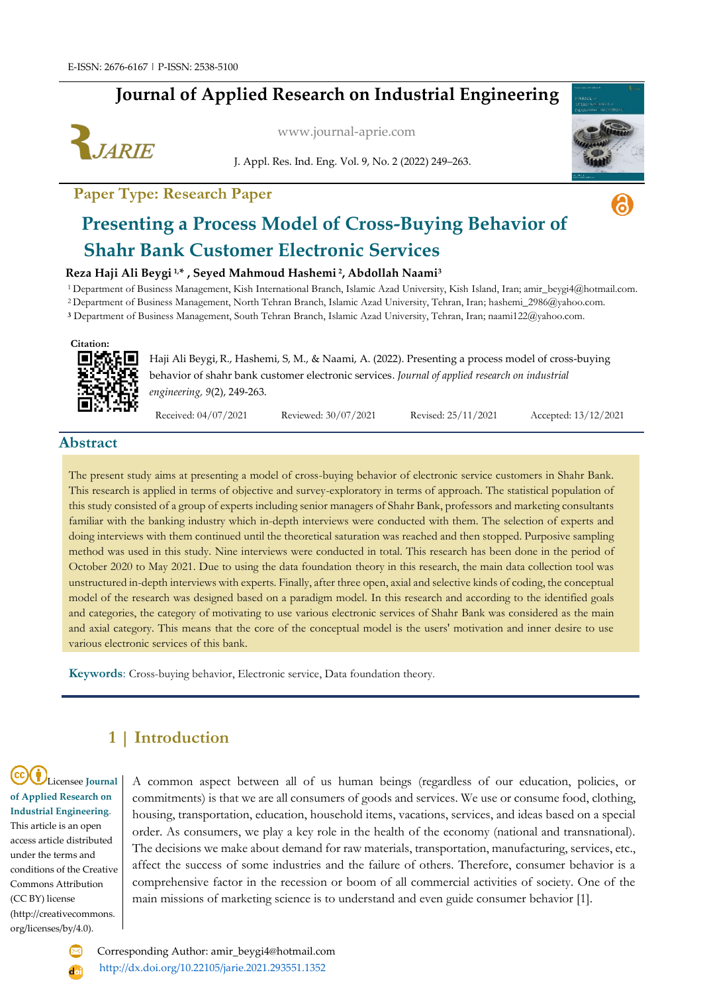# **Journal of Applied Research on Industrial Engineering**



[www.journal-aprie.com](http://www.journal-aprie.com/)

J. Appl. Res. Ind. Eng. Vol. 9, No. 2 (2022) 249–263.



ெ

### **Paper Type: Research Paper**

# **Presenting a Process Model of Cross-Buying Behavior of Shahr Bank Customer Electronic Services**

### **Reza Haji Ali Beygi 1,\* , Seyed Mahmoud Hashemi <sup>2</sup> , Abdollah Naami<sup>3</sup>**

<sup>1</sup>Department of Business Management, Kish International Branch, Islamic Azad University, Kish Island, Iran; amir\_beygi4@hotmail.com.

<sup>2</sup>Department of Business Management, North Tehran Branch, Islamic Azad University, Tehran, Iran; hashemi\_2986@yahoo.com.

**<sup>3</sup>** Department of Business Management, South Tehran Branch, Islamic Azad University, Tehran, Iran; naami122@yahoo.com.

#### **Citation:**



Haji Ali Beygi,R., Hashemi, S, M., & Naami, A. (2022). Presenting a process model of cross-buying behavior of shahr bank customer electronic services. *Journal of applied research on industrial engineering, 9*(2), 249-263.

Received: 04/07/2021 Reviewed: 30/07/2021 Revised: 25/11/2021 Accepted: 13/12/2021

### **Abstract**

The present study aims at presenting a model of cross-buying behavior of electronic service customers in Shahr Bank. This research is applied in terms of objective and survey-exploratory in terms of approach. The statistical population of this study consisted of a group of experts including senior managers of Shahr Bank, professors and marketing consultants familiar with the banking industry which in-depth interviews were conducted with them. The selection of experts and doing interviews with them continued until the theoretical saturation was reached and then stopped. Purposive sampling method was used in this study. Nine interviews were conducted in total. This research has been done in the period of October 2020 to May 2021. Due to using the data foundation theory in this research, the main data collection tool was unstructured in-depth interviews with experts. Finally, after three open, axial and selective kinds of coding, the conceptual model of the research was designed based on a paradigm model. In this research and according to the identified goals and categories, the category of motivating to use various electronic services of Shahr Bank was considered as the main and axial category. This means that the core of the conceptual model is the users' motivation and inner desire to use various electronic services of this bank.

**Keywords**: Cross-buying behavior, Electronic service, Data foundation theory.

# **1 | Introduction**

Licensee **Journal of Applied Research on Industrial Engineering**. This article is an open access article distributed under the terms and conditions of the Creative Commons Attribution (CC BY) license (http://creativecommons. org/licenses/by/4.0).

A common aspect between all of us human beings (regardless of our education, policies, or commitments) is that we are all consumers of goods and services. We use or consume food, clothing, housing, transportation, education, household items, vacations, services, and ideas based on a special order. As consumers, we play a key role in the health of the economy (national and transnational). The decisions we make about demand for raw materials, transportation, manufacturing, services, etc., affect the success of some industries and the failure of others. Therefore, consumer behavior is a comprehensive factor in the recession or boom of all commercial activities of society. One of the main missions of marketing science is to understand and even guide consumer behavior [1].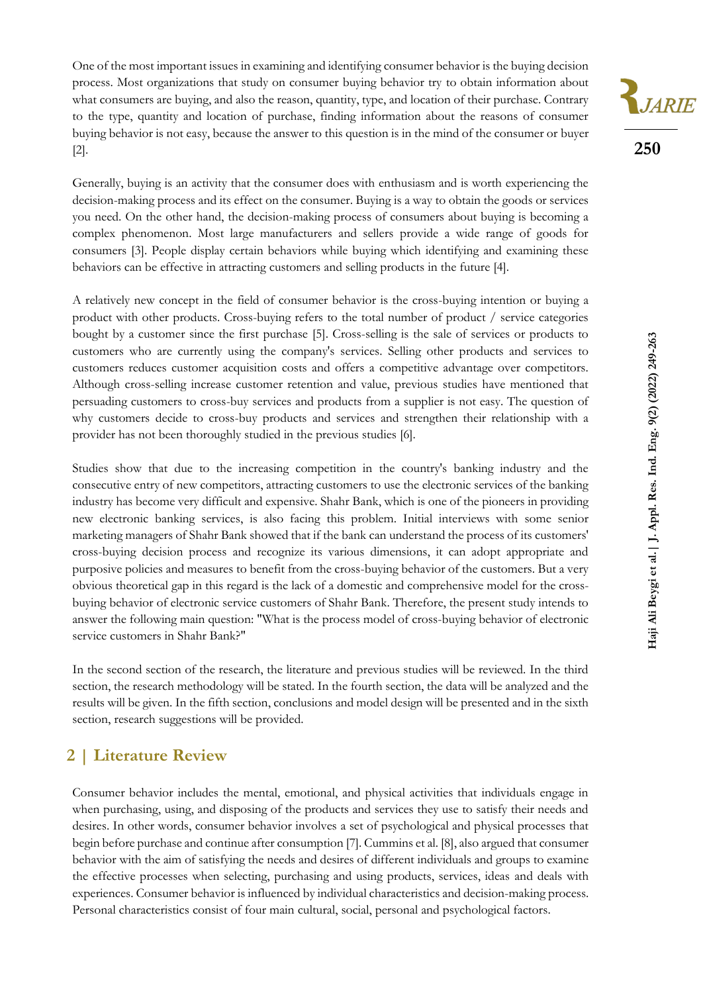One of the most important issues in examining and identifying consumer behavior is the buying decision process. Most organizations that study on consumer buying behavior try to obtain information about what consumers are buying, and also the reason, quantity, type, and location of their purchase. Contrary to the type, quantity and location of purchase, finding information about the reasons of consumer buying behavior is not easy, because the answer to this question is in the mind of the consumer or buyer [2].

Generally, buying is an activity that the consumer does with enthusiasm and is worth experiencing the decision-making process and its effect on the consumer. Buying is a way to obtain the goods or services you need. On the other hand, the decision-making process of consumers about buying is becoming a complex phenomenon. Most large manufacturers and sellers provide a wide range of goods for consumers [3]. People display certain behaviors while buying which identifying and examining these behaviors can be effective in attracting customers and selling products in the future [4].

A relatively new concept in the field of consumer behavior is the cross-buying intention or buying a product with other products. Cross-buying refers to the total number of product / service categories bought by a customer since the first purchase [5]. Cross-selling is the sale of services or products to customers who are currently using the company's services. Selling other products and services to customers reduces customer acquisition costs and offers a competitive advantage over competitors. Although cross-selling increase customer retention and value, previous studies have mentioned that persuading customers to cross-buy services and products from a supplier is not easy. The question of why customers decide to cross-buy products and services and strengthen their relationship with a provider has not been thoroughly studied in the previous studies [6].

Studies show that due to the increasing competition in the country's banking industry and the consecutive entry of new competitors, attracting customers to use the electronic services of the banking industry has become very difficult and expensive. Shahr Bank, which is one of the pioneers in providing new electronic banking services, is also facing this problem. Initial interviews with some senior marketing managers of Shahr Bank showed that if the bank can understand the process of its customers' cross-buying decision process and recognize its various dimensions, it can adopt appropriate and purposive policies and measures to benefit from the cross-buying behavior of the customers. But a very obvious theoretical gap in this regard is the lack of a domestic and comprehensive model for the crossbuying behavior of electronic service customers of Shahr Bank. Therefore, the present study intends to answer the following main question: "What is the process model of cross-buying behavior of electronic service customers in Shahr Bank?"

In the second section of the research, the literature and previous studies will be reviewed. In the third section, the research methodology will be stated. In the fourth section, the data will be analyzed and the results will be given. In the fifth section, conclusions and model design will be presented and in the sixth section, research suggestions will be provided.

# **2 | Literature Review**

Consumer behavior includes the mental, emotional, and physical activities that individuals engage in when purchasing, using, and disposing of the products and services they use to satisfy their needs and desires. In other words, consumer behavior involves a set of psychological and physical processes that begin before purchase and continue after consumption [7]. Cummins et al. [8], also argued that consumer behavior with the aim of satisfying the needs and desires of different individuals and groups to examine the effective processes when selecting, purchasing and using products, services, ideas and deals with experiences. Consumer behavior is influenced by individual characteristics and decision-making process. Personal characteristics consist of four main cultural, social, personal and psychological factors.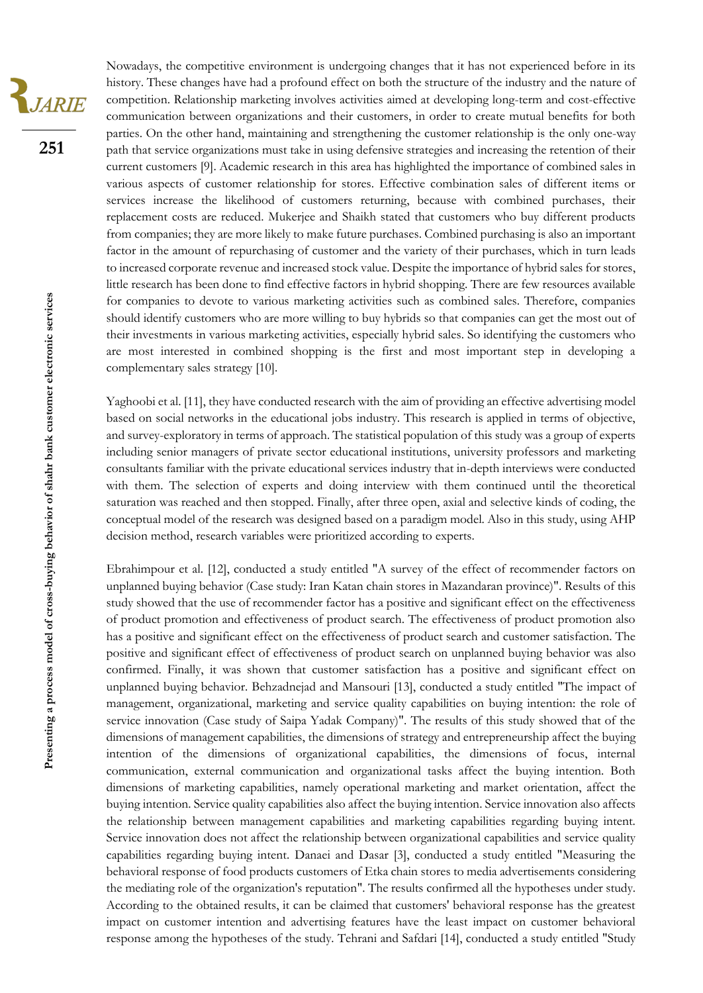JARIE

**251**

Nowadays, the competitive environment is undergoing changes that it has not experienced before in its history. These changes have had a profound effect on both the structure of the industry and the nature of competition. Relationship marketing involves activities aimed at developing long-term and cost-effective communication between organizations and their customers, in order to create mutual benefits for both parties. On the other hand, maintaining and strengthening the customer relationship is the only one-way path that service organizations must take in using defensive strategies and increasing the retention of their current customers [9]. Academic research in this area has highlighted the importance of combined sales in various aspects of customer relationship for stores. Effective combination sales of different items or services increase the likelihood of customers returning, because with combined purchases, their replacement costs are reduced. Mukerjee and Shaikh stated that customers who buy different products from companies; they are more likely to make future purchases. Combined purchasing is also an important factor in the amount of repurchasing of customer and the variety of their purchases, which in turn leads to increased corporate revenue and increased stock value. Despite the importance of hybrid sales for stores, little research has been done to find effective factors in hybrid shopping. There are few resources available for companies to devote to various marketing activities such as combined sales. Therefore, companies should identify customers who are more willing to buy hybrids so that companies can get the most out of their investments in various marketing activities, especially hybrid sales. So identifying the customers who are most interested in combined shopping is the first and most important step in developing a complementary sales strategy [10].

Yaghoobi et al. [11], they have conducted research with the aim of providing an effective advertising model based on social networks in the educational jobs industry. This research is applied in terms of objective, and survey-exploratory in terms of approach. The statistical population of this study was a group of experts including senior managers of private sector educational institutions, university professors and marketing consultants familiar with the private educational services industry that in-depth interviews were conducted with them. The selection of experts and doing interview with them continued until the theoretical saturation was reached and then stopped. Finally, after three open, axial and selective kinds of coding, the conceptual model of the research was designed based on a paradigm model. Also in this study, using AHP decision method, research variables were prioritized according to experts.

Ebrahimpour et al. [12], conducted a study entitled "A survey of the effect of recommender factors on unplanned buying behavior (Case study: Iran Katan chain stores in Mazandaran province)". Results of this study showed that the use of recommender factor has a positive and significant effect on the effectiveness of product promotion and effectiveness of product search. The effectiveness of product promotion also has a positive and significant effect on the effectiveness of product search and customer satisfaction. The positive and significant effect of effectiveness of product search on unplanned buying behavior was also confirmed. Finally, it was shown that customer satisfaction has a positive and significant effect on unplanned buying behavior. Behzadnejad and Mansouri [13], conducted a study entitled "The impact of management, organizational, marketing and service quality capabilities on buying intention: the role of service innovation (Case study of Saipa Yadak Company)". The results of this study showed that of the dimensions of management capabilities, the dimensions of strategy and entrepreneurship affect the buying intention of the dimensions of organizational capabilities, the dimensions of focus, internal communication, external communication and organizational tasks affect the buying intention. Both dimensions of marketing capabilities, namely operational marketing and market orientation, affect the buying intention. Service quality capabilities also affect the buying intention. Service innovation also affects the relationship between management capabilities and marketing capabilities regarding buying intent. Service innovation does not affect the relationship between organizational capabilities and service quality capabilities regarding buying intent. Danaei and Dasar [3], conducted a study entitled "Measuring the behavioral response of food products customers of Etka chain stores to media advertisements considering the mediating role of the organization's reputation". The results confirmed all the hypotheses under study. According to the obtained results, it can be claimed that customers' behavioral response has the greatest impact on customer intention and advertising features have the least impact on customer behavioral response among the hypotheses of the study. Tehrani and Safdari [14], conducted a study entitled "Study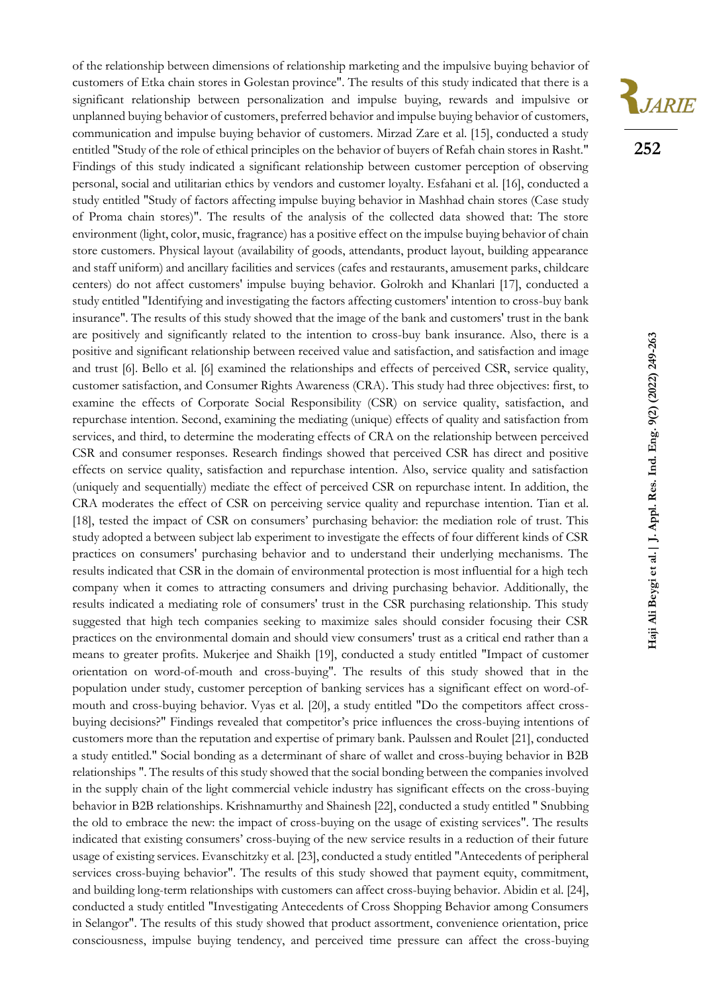

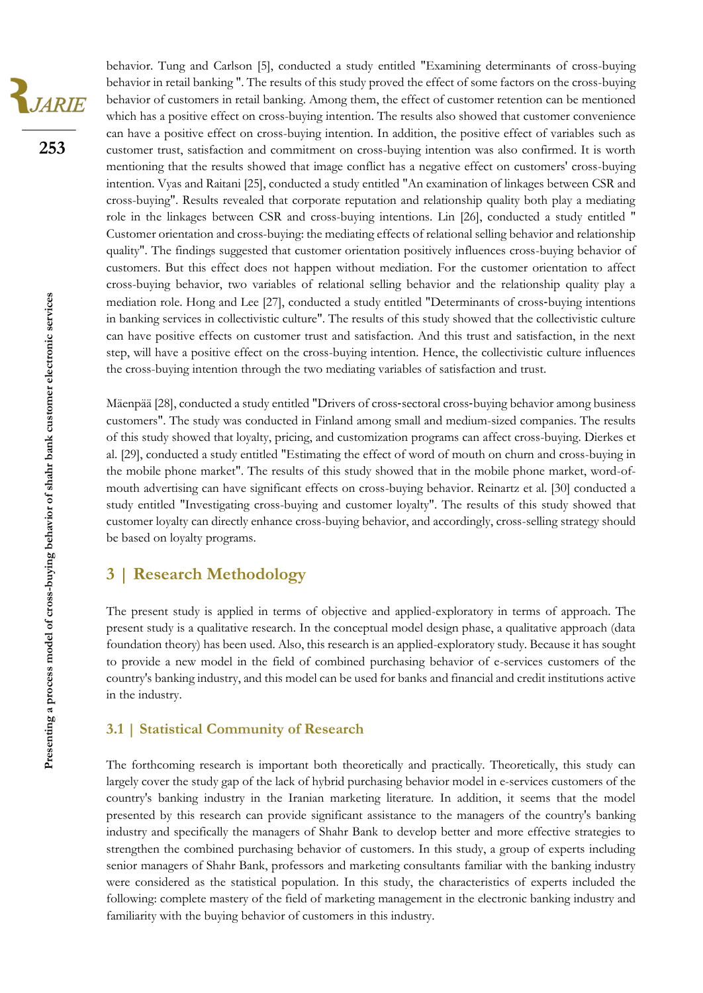JARIE

**253**

behavior. Tung and Carlson [5], conducted a study entitled "Examining determinants of cross-buying behavior in retail banking ". The results of this study proved the effect of some factors on the cross-buying behavior of customers in retail banking. Among them, the effect of customer retention can be mentioned which has a positive effect on cross-buying intention. The results also showed that customer convenience can have a positive effect on cross-buying intention. In addition, the positive effect of variables such as customer trust, satisfaction and commitment on cross-buying intention was also confirmed. It is worth mentioning that the results showed that image conflict has a negative effect on customers' cross-buying intention. Vyas and Raitani [25], conducted a study entitled "An examination of linkages between CSR and cross-buying". Results revealed that corporate reputation and relationship quality both play a mediating role in the linkages between CSR and cross-buying intentions. Lin [26], conducted a study entitled " Customer orientation and cross-buying: the mediating effects of relational selling behavior and relationship quality". The findings suggested that customer orientation positively influences cross-buying behavior of customers. But this effect does not happen without mediation. For the customer orientation to affect cross-buying behavior, two variables of relational selling behavior and the relationship quality play a mediation role. Hong and Lee [27], conducted a study entitled "Determinants of cross-buying intentions in banking services in collectivistic culture". The results of this study showed that the collectivistic culture can have positive effects on customer trust and satisfaction. And this trust and satisfaction, in the next step, will have a positive effect on the cross-buying intention. Hence, the collectivistic culture influences the cross-buying intention through the two mediating variables of satisfaction and trust.

Mäenpää [28], conducted a study entitled "Drivers of cross‐sectoral cross‐buying behavior among business customers". The study was conducted in Finland among small and medium-sized companies. The results of this study showed that loyalty, pricing, and customization programs can affect cross-buying. Dierkes et al. [29], conducted a study entitled "Estimating the effect of word of mouth on churn and cross-buying in the mobile phone market". The results of this study showed that in the mobile phone market, word-ofmouth advertising can have significant effects on cross-buying behavior. Reinartz et al. [30] conducted a study entitled "Investigating cross-buying and customer loyalty". The results of this study showed that customer loyalty can directly enhance cross-buying behavior, and accordingly, cross-selling strategy should be based on loyalty programs.

## **3 | Research Methodology**

The present study is applied in terms of objective and applied-exploratory in terms of approach. The present study is a qualitative research. In the conceptual model design phase, a qualitative approach (data foundation theory) has been used. Also, this research is an applied-exploratory study. Because it has sought to provide a new model in the field of combined purchasing behavior of e-services customers of the country's banking industry, and this model can be used for banks and financial and credit institutions active in the industry.

### **3.1 | Statistical Community of Research**

The forthcoming research is important both theoretically and practically. Theoretically, this study can largely cover the study gap of the lack of hybrid purchasing behavior model in e-services customers of the country's banking industry in the Iranian marketing literature. In addition, it seems that the model presented by this research can provide significant assistance to the managers of the country's banking industry and specifically the managers of Shahr Bank to develop better and more effective strategies to strengthen the combined purchasing behavior of customers. In this study, a group of experts including senior managers of Shahr Bank, professors and marketing consultants familiar with the banking industry were considered as the statistical population. In this study, the characteristics of experts included the following: complete mastery of the field of marketing management in the electronic banking industry and familiarity with the buying behavior of customers in this industry.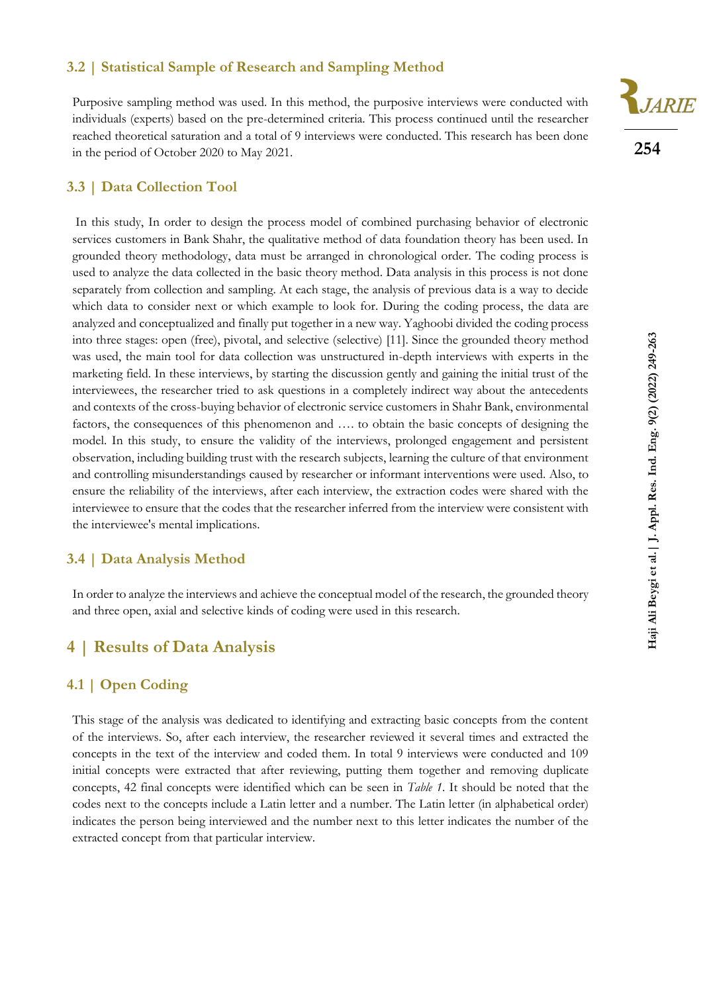### **3.2 | Statistical Sample of Research and Sampling Method**

Purposive sampling method was used. In this method, the purposive interviews were conducted with individuals (experts) based on the pre-determined criteria. This process continued until the researcher reached theoretical saturation and a total of 9 interviews were conducted. This research has been done in the period of October 2020 to May 2021.



In this study, In order to design the process model of combined purchasing behavior of electronic services customers in Bank Shahr, the qualitative method of data foundation theory has been used. In grounded theory methodology, data must be arranged in chronological order. The coding process is used to analyze the data collected in the basic theory method. Data analysis in this process is not done separately from collection and sampling. At each stage, the analysis of previous data is a way to decide which data to consider next or which example to look for. During the coding process, the data are analyzed and conceptualized and finally put together in a new way. Yaghoobi divided the coding process into three stages: open (free), pivotal, and selective (selective) [11]. Since the grounded theory method was used, the main tool for data collection was unstructured in-depth interviews with experts in the marketing field. In these interviews, by starting the discussion gently and gaining the initial trust of the interviewees, the researcher tried to ask questions in a completely indirect way about the antecedents and contexts of the cross-buying behavior of electronic service customers in Shahr Bank, environmental factors, the consequences of this phenomenon and …. to obtain the basic concepts of designing the model. In this study, to ensure the validity of the interviews, prolonged engagement and persistent observation, including building trust with the research subjects, learning the culture of that environment and controlling misunderstandings caused by researcher or informant interventions were used. Also, to ensure the reliability of the interviews, after each interview, the extraction codes were shared with the interviewee to ensure that the codes that the researcher inferred from the interview were consistent with the interviewee's mental implications.

### **3.4 | Data Analysis Method**

In order to analyze the interviews and achieve the conceptual model of the research, the grounded theory and three open, axial and selective kinds of coding were used in this research.

# **4 | Results of Data Analysis**

### **4.1 | Open Coding**

This stage of the analysis was dedicated to identifying and extracting basic concepts from the content of the interviews. So, after each interview, the researcher reviewed it several times and extracted the concepts in the text of the interview and coded them. In total 9 interviews were conducted and 109 initial concepts were extracted that after reviewing, putting them together and removing duplicate concepts, 42 final concepts were identified which can be seen in *Table 1*. It should be noted that the codes next to the concepts include a Latin letter and a number. The Latin letter (in alphabetical order) indicates the person being interviewed and the number next to this letter indicates the number of the extracted concept from that particular interview.

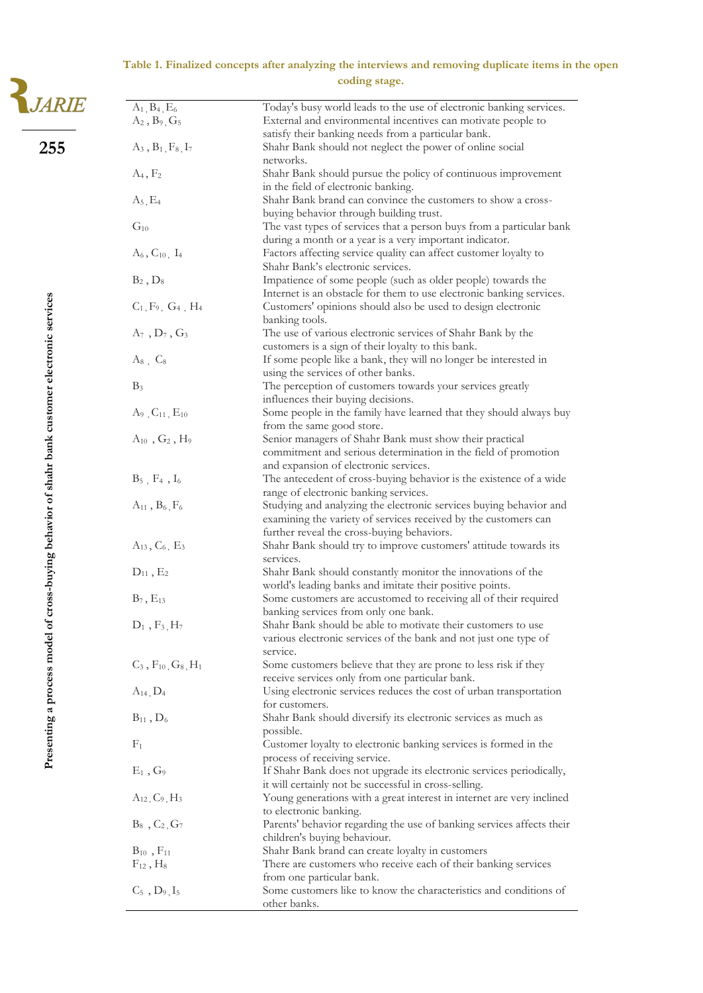### **Table 1. Finalized concepts after analyzing the interviews and removing duplicate items in the open coding stage.**

|                                                               | coding stage.                                    |                                                                                                                                                                                     |  |
|---------------------------------------------------------------|--------------------------------------------------|-------------------------------------------------------------------------------------------------------------------------------------------------------------------------------------|--|
| <b>IARIE</b>                                                  | $A_1, B_4, E_6$                                  | Today's busy world leads to the use of electronic banking services.                                                                                                                 |  |
|                                                               | $A_2, B_9, G_5$                                  | External and environmental incentives can motivate people to<br>satisfy their banking needs from a particular bank.                                                                 |  |
| 255                                                           | $A_3, B_1, F_8, I_7$                             | Shahr Bank should not neglect the power of online social<br>networks.                                                                                                               |  |
|                                                               | $A_4, F_2$                                       | Shahr Bank should pursue the policy of continuous improvement<br>in the field of electronic banking.                                                                                |  |
|                                                               | $A_5, E_4$                                       | Shahr Bank brand can convince the customers to show a cross-<br>buying behavior through building trust.                                                                             |  |
|                                                               | $G_{10}$                                         | The vast types of services that a person buys from a particular bank<br>during a month or a year is a very important indicator.                                                     |  |
|                                                               | $A_6, C_{10}, I_4$                               | Factors affecting service quality can affect customer loyalty to<br>Shahr Bank's electronic services.                                                                               |  |
|                                                               | $B_2, D_8$                                       | Impatience of some people (such as older people) towards the<br>Internet is an obstacle for them to use electronic banking services.                                                |  |
|                                                               | $C_1, F_9, G_4, H_4$                             | Customers' opinions should also be used to design electronic<br>banking tools.                                                                                                      |  |
|                                                               | $A_7$ , $D_7$ , $G_3$                            | The use of various electronic services of Shahr Bank by the<br>customers is a sign of their loyalty to this bank.                                                                   |  |
|                                                               | $A_8$ , $C_8$                                    | If some people like a bank, they will no longer be interested in<br>using the services of other banks.                                                                              |  |
|                                                               | $B_3$                                            | The perception of customers towards your services greatly<br>influences their buying decisions.                                                                                     |  |
|                                                               | $A_9$ , $C_{11}$ , $E_{10}$                      | Some people in the family have learned that they should always buy<br>from the same good store.                                                                                     |  |
|                                                               | $A_{10}$ , $G_2$ , $H_9$                         | Senior managers of Shahr Bank must show their practical<br>commitment and serious determination in the field of promotion<br>and expansion of electronic services.                  |  |
|                                                               | $\mathrm{B}_5$ , $\mathrm{F}_4$ , $\mathrm{I}_6$ | The antecedent of cross-buying behavior is the existence of a wide<br>range of electronic banking services.                                                                         |  |
| ss-buying behavior of shahr bank customer electronic services | $A_{11}$ , $B_6$ , $F_6$                         | Studying and analyzing the electronic services buying behavior and<br>examining the variety of services received by the customers can<br>further reveal the cross-buying behaviors. |  |
|                                                               | $A_{13}$ , $C_6$ , $E_3$                         | Shahr Bank should try to improve customers' attitude towards its<br>services.                                                                                                       |  |
|                                                               | $D_{11}$ , $E_2$                                 | Shahr Bank should constantly monitor the innovations of the<br>world's leading banks and imitate their positive points.                                                             |  |
|                                                               | $B_7, E_{13}$<br>$D_1$ , $F_3$ , $H_7$           | Some customers are accustomed to receiving all of their required<br>banking services from only one bank.<br>Shahr Bank should be able to motivate their customers to use            |  |
| Presenting a process model of cro                             |                                                  | various electronic services of the bank and not just one type of<br>service.                                                                                                        |  |
|                                                               | $C_3$ , $F_{10}$ , $G_8$ , $H_1$                 | Some customers believe that they are prone to less risk if they<br>receive services only from one particular bank.                                                                  |  |
|                                                               | $A_{14}$ , $D_4$                                 | Using electronic services reduces the cost of urban transportation<br>for customers.                                                                                                |  |
|                                                               | $B_{11}$ , $D_6$                                 | Shahr Bank should diversify its electronic services as much as<br>possible.                                                                                                         |  |
|                                                               | $F_1$                                            | Customer loyalty to electronic banking services is formed in the<br>process of receiving service.                                                                                   |  |
|                                                               | $E_1$ , $G_9$                                    | If Shahr Bank does not upgrade its electronic services periodically,<br>it will certainly not be successful in cross-selling.                                                       |  |
|                                                               | $A_{12}$ , $C_9$ , $H_3$                         | Young generations with a great interest in internet are very inclined<br>to electronic banking.                                                                                     |  |
|                                                               | $B_8$ , $C_2$ , $G_7$                            | Parents' behavior regarding the use of banking services affects their<br>children's buying behaviour.                                                                               |  |
|                                                               | $B_{10}$ , $F_{11}$<br>$F_{12}$ , $H_8$          | Shahr Bank brand can create loyalty in customers<br>There are customers who receive each of their banking services                                                                  |  |
|                                                               | $C_5$ , $D_9$ , $I_5$                            | from one particular bank.<br>Some customers like to know the characteristics and conditions of<br>other banks.                                                                      |  |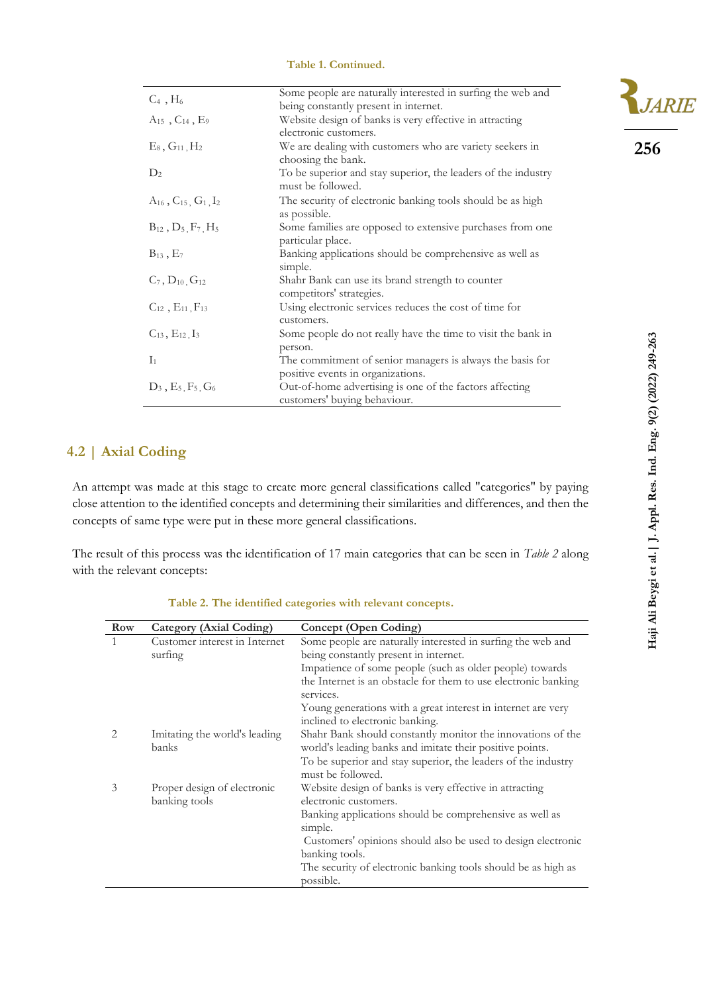#### **Table 1. Continued.**

| $C_4$ , $H_6$                       | Some people are naturally interested in surfing the web and   |
|-------------------------------------|---------------------------------------------------------------|
|                                     | being constantly present in internet.                         |
| $A_{15}$ , $C_{14}$ , $E_9$         | Website design of banks is very effective in attracting       |
|                                     | electronic customers.                                         |
| $E_8, G_{11}, H_2$                  | We are dealing with customers who are variety seekers in      |
|                                     | choosing the bank.                                            |
| $D_2$                               | To be superior and stay superior, the leaders of the industry |
|                                     | must be followed.                                             |
| $A_{16}$ , $C_{15}$ , $G_1$ , $I_2$ | The security of electronic banking tools should be as high    |
|                                     | as possible.                                                  |
| $B_{12}$ , $D_5$ , $F_7$ , $H_5$    | Some families are opposed to extensive purchases from one     |
|                                     | particular place.                                             |
| $B_{13}$ , $E_7$                    | Banking applications should be comprehensive as well as       |
|                                     | simple.                                                       |
| $C_7, D_{10}, G_{12}$               | Shahr Bank can use its brand strength to counter              |
|                                     | competitors' strategies.                                      |
| $C_{12}$ , $E_{11}$ , $F_{13}$      | Using electronic services reduces the cost of time for        |
|                                     | customers.                                                    |
| $C_{13}$ , $E_{12}$ , $I_3$         | Some people do not really have the time to visit the bank in  |
|                                     | person.                                                       |
| $I_1$                               | The commitment of senior managers is always the basis for     |
|                                     | positive events in organizations.                             |
| $D_3, E_5, F_5, G_6$                | Out-of-home advertising is one of the factors affecting       |
|                                     | customers' buying behaviour.                                  |

### **4.2 | Axial Coding**

An attempt was made at this stage to create more general classifications called "categories" by paying close attention to the identified concepts and determining their similarities and differences, and then the concepts of same type were put in these more general classifications.

The result of this process was the identification of 17 main categories that can be seen in *Table 2* along with the relevant concepts:

| Row | <b>Category (Axial Coding)</b> | Concept (Open Coding)                                          |
|-----|--------------------------------|----------------------------------------------------------------|
| 1   | Customer interest in Internet  | Some people are naturally interested in surfing the web and    |
|     | surfing                        | being constantly present in internet.                          |
|     |                                | Impatience of some people (such as older people) towards       |
|     |                                | the Internet is an obstacle for them to use electronic banking |
|     |                                | services.                                                      |
|     |                                | Young generations with a great interest in internet are very   |
|     |                                | inclined to electronic banking.                                |
|     | Imitating the world's leading  | Shahr Bank should constantly monitor the innovations of the    |
|     | banks                          | world's leading banks and imitate their positive points.       |
|     |                                | To be superior and stay superior, the leaders of the industry  |
|     |                                | must be followed.                                              |
| 3   | Proper design of electronic    | Website design of banks is very effective in attracting        |
|     | banking tools                  | electronic customers.                                          |
|     |                                | Banking applications should be comprehensive as well as        |
|     |                                | simple.                                                        |
|     |                                | Customers' opinions should also be used to design electronic   |
|     |                                | banking tools.                                                 |
|     |                                | The security of electronic banking tools should be as high as  |
|     |                                | possible.                                                      |

**Table 2. The identified categories with relevant concepts.**

**R**JARIE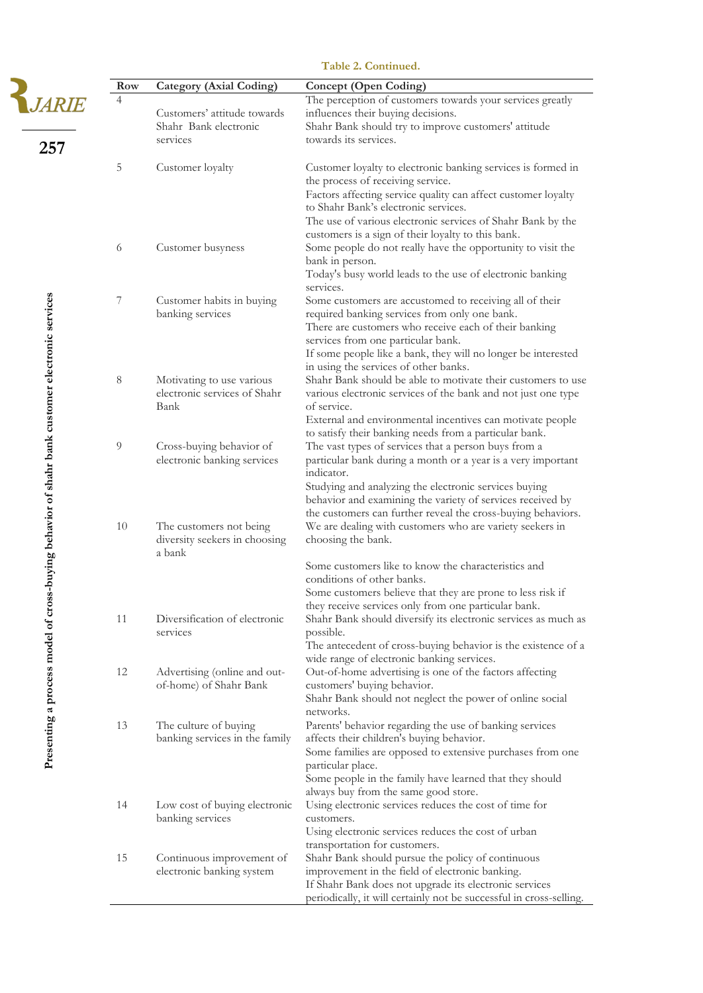|                                                               | Row | <b>Category (Axial Coding)</b>                                     | <b>Concept (Open Coding)</b>                                                                                                                                                                                                                                                                                                                              |
|---------------------------------------------------------------|-----|--------------------------------------------------------------------|-----------------------------------------------------------------------------------------------------------------------------------------------------------------------------------------------------------------------------------------------------------------------------------------------------------------------------------------------------------|
| 257                                                           | 4   | Customers' attitude towards<br>Shahr Bank electronic<br>services   | The perception of customers towards your services greatly<br>influences their buying decisions.<br>Shahr Bank should try to improve customers' attitude<br>towards its services.                                                                                                                                                                          |
|                                                               | 5   | Customer loyalty                                                   | Customer loyalty to electronic banking services is formed in<br>the process of receiving service.<br>Factors affecting service quality can affect customer loyalty<br>to Shahr Bank's electronic services.                                                                                                                                                |
|                                                               | 6   | Customer busyness                                                  | The use of various electronic services of Shahr Bank by the<br>customers is a sign of their loyalty to this bank.<br>Some people do not really have the opportunity to visit the<br>bank in person.<br>Today's busy world leads to the use of electronic banking                                                                                          |
|                                                               | 7   | Customer habits in buying<br>banking services                      | services.<br>Some customers are accustomed to receiving all of their<br>required banking services from only one bank.<br>There are customers who receive each of their banking                                                                                                                                                                            |
| ss-buying behavior of shahr bank customer electronic services | 8   | Motivating to use various<br>electronic services of Shahr<br>Bank  | services from one particular bank.<br>If some people like a bank, they will no longer be interested<br>in using the services of other banks.<br>Shahr Bank should be able to motivate their customers to use<br>various electronic services of the bank and not just one type<br>of service.<br>External and environmental incentives can motivate people |
|                                                               | 9   | Cross-buying behavior of<br>electronic banking services            | to satisfy their banking needs from a particular bank.<br>The vast types of services that a person buys from a<br>particular bank during a month or a year is a very important<br>indicator.<br>Studying and analyzing the electronic services buying<br>behavior and examining the variety of services received by                                       |
|                                                               | 10  | The customers not being<br>diversity seekers in choosing<br>a bank | the customers can further reveal the cross-buying behaviors.<br>We are dealing with customers who are variety seekers in<br>choosing the bank.<br>Some customers like to know the characteristics and                                                                                                                                                     |
|                                                               | 11  | Diversification of electronic<br>services                          | conditions of other banks.<br>Some customers believe that they are prone to less risk if<br>they receive services only from one particular bank.<br>Shahr Bank should diversify its electronic services as much as<br>possible.<br>The antecedent of cross-buying behavior is the existence of a                                                          |
| Presenting a process model of cro                             | 12  | Advertising (online and out-<br>of-home) of Shahr Bank             | wide range of electronic banking services.<br>Out-of-home advertising is one of the factors affecting<br>customers' buying behavior.<br>Shahr Bank should not neglect the power of online social                                                                                                                                                          |
|                                                               | 13  | The culture of buying<br>banking services in the family            | networks.<br>Parents' behavior regarding the use of banking services<br>affects their children's buying behavior.<br>Some families are opposed to extensive purchases from one<br>particular place.<br>Some people in the family have learned that they should                                                                                            |
|                                                               | 14  | Low cost of buying electronic<br>banking services                  | always buy from the same good store.<br>Using electronic services reduces the cost of time for<br>customers.<br>Using electronic services reduces the cost of urban                                                                                                                                                                                       |
|                                                               | 15  | Continuous improvement of<br>electronic banking system             | transportation for customers.<br>Shahr Bank should pursue the policy of continuous<br>improvement in the field of electronic banking.<br>If Shahr Bank does not upgrade its electronic services<br>periodically, it will certainly not be successful in cross-selling.                                                                                    |

#### **Table 2. Continued.**

 $\frac{2}{3}$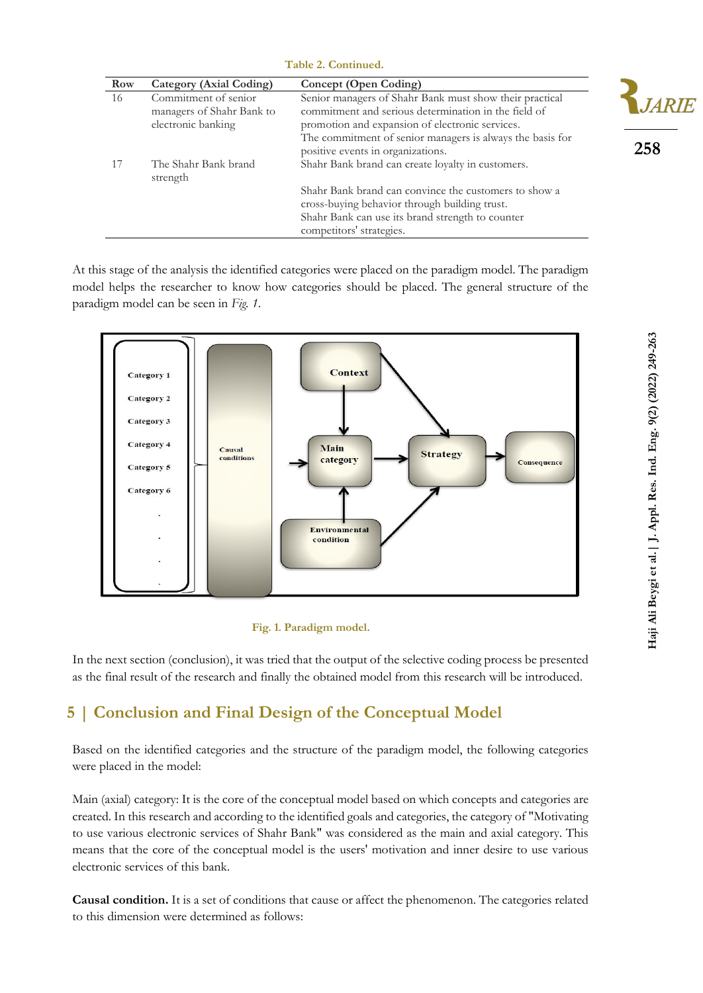| Table 2. Continued. |                                                                         |                                                                                                                                                                                                                                                                      |  |  |
|---------------------|-------------------------------------------------------------------------|----------------------------------------------------------------------------------------------------------------------------------------------------------------------------------------------------------------------------------------------------------------------|--|--|
| <b>Row</b>          | <b>Category (Axial Coding)</b>                                          | Concept (Open Coding)                                                                                                                                                                                                                                                |  |  |
| 16                  | Commitment of senior<br>managers of Shahr Bank to<br>electronic banking | Senior managers of Shahr Bank must show their practical<br>commitment and serious determination in the field of<br>promotion and expansion of electronic services.<br>The commitment of senior managers is always the basis for<br>positive events in organizations. |  |  |
| 17                  | The Shahr Bank brand<br>strength                                        | Shahr Bank brand can create loyalty in customers.<br>Shahr Bank brand can convince the customers to show a<br>cross-buying behavior through building trust.<br>Shahr Bank can use its brand strength to counter                                                      |  |  |

competitors' strategies.

At this stage of the analysis the identified categories were placed on the paradigm model. The paradigm model helps the researcher to know how categories should be placed. The general structure of the paradigm model can be seen in *Fig. 1*.



#### **Fig. 1. Paradigm model.**

In the next section (conclusion), it was tried that the output of the selective coding process be presented as the final result of the research and finally the obtained model from this research will be introduced.

## **5 | Conclusion and Final Design of the Conceptual Model**

Based on the identified categories and the structure of the paradigm model, the following categories were placed in the model:

Main (axial) category: It is the core of the conceptual model based on which concepts and categories are created. In this research and according to the identified goals and categories, the category of "Motivating to use various electronic services of Shahr Bank" was considered as the main and axial category. This means that the core of the conceptual model is the users' motivation and inner desire to use various electronic services of this bank.

**Causal condition.** It is a set of conditions that cause or affect the phenomenon. The categories related to this dimension were determined as follows:

**258**

**JARIE**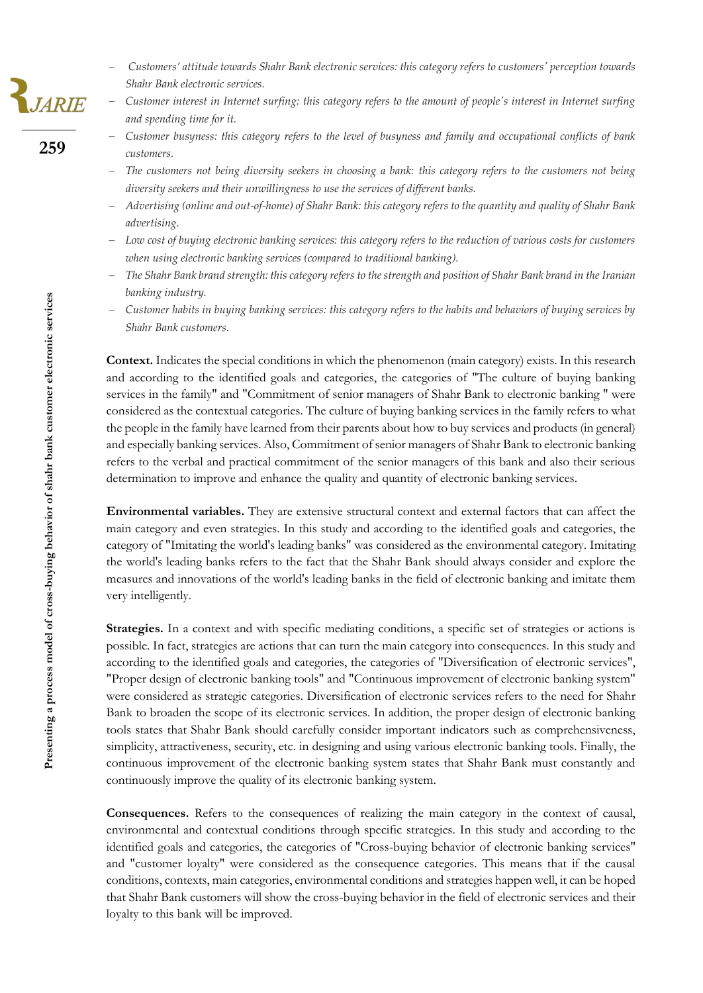- − *Customers' attitude towards Shahr Bank electronic services: this category refers to customers' perception towards Shahr Bank electronic services.*
- − *Customer interest in Internet surfing: this category refers to the amount of people's interest in Internet surfing and spending time for it.*
- − *Customer busyness: this category refers to the level of busyness and family and occupational conflicts of bank customers.*
- − *The customers not being diversity seekers in choosing a bank: this category refers to the customers not being diversity seekers and their unwillingness to use the services of different banks.*
- − *Advertising (online and out-of-home) of Shahr Bank: this category refers to the quantity and quality of Shahr Bank advertising.*
- − *Low cost of buying electronic banking services: this category refers to the reduction of various costs for customers when using electronic banking services (compared to traditional banking).*
- − *The Shahr Bank brand strength: this category refers to the strength and position of Shahr Bank brand in the Iranian banking industry.*
- − *Customer habits in buying banking services: this category refers to the habits and behaviors of buying services by Shahr Bank customers.*

**Context.** Indicates the special conditions in which the phenomenon (main category) exists. In this research and according to the identified goals and categories, the categories of "The culture of buying banking services in the family" and "Commitment of senior managers of Shahr Bank to electronic banking " were considered as the contextual categories. The culture of buying banking services in the family refers to what the people in the family have learned from their parents about how to buy services and products (in general) and especially banking services. Also, Commitment of senior managers of Shahr Bank to electronic banking refers to the verbal and practical commitment of the senior managers of this bank and also their serious determination to improve and enhance the quality and quantity of electronic banking services.

**Environmental variables.** They are extensive structural context and external factors that can affect the main category and even strategies. In this study and according to the identified goals and categories, the category of "Imitating the world's leading banks" was considered as the environmental category. Imitating the world's leading banks refers to the fact that the Shahr Bank should always consider and explore the measures and innovations of the world's leading banks in the field of electronic banking and imitate them very intelligently.

**Strategies.** In a context and with specific mediating conditions, a specific set of strategies or actions is possible. In fact, strategies are actions that can turn the main category into consequences. In this study and according to the identified goals and categories, the categories of "Diversification of electronic services", "Proper design of electronic banking tools" and "Continuous improvement of electronic banking system" were considered as strategic categories. Diversification of electronic services refers to the need for Shahr Bank to broaden the scope of its electronic services. In addition, the proper design of electronic banking tools states that Shahr Bank should carefully consider important indicators such as comprehensiveness, simplicity, attractiveness, security, etc. in designing and using various electronic banking tools. Finally, the continuous improvement of the electronic banking system states that Shahr Bank must constantly and continuously improve the quality of its electronic banking system.

**Consequences.** Refers to the consequences of realizing the main category in the context of causal, environmental and contextual conditions through specific strategies. In this study and according to the identified goals and categories, the categories of "Cross-buying behavior of electronic banking services" and "customer loyalty" were considered as the consequence categories. This means that if the causal conditions, contexts, main categories, environmental conditions and strategies happen well, it can be hoped that Shahr Bank customers will show the cross-buying behavior in the field of electronic services and their loyalty to this bank will be improved.

,<br>JARIE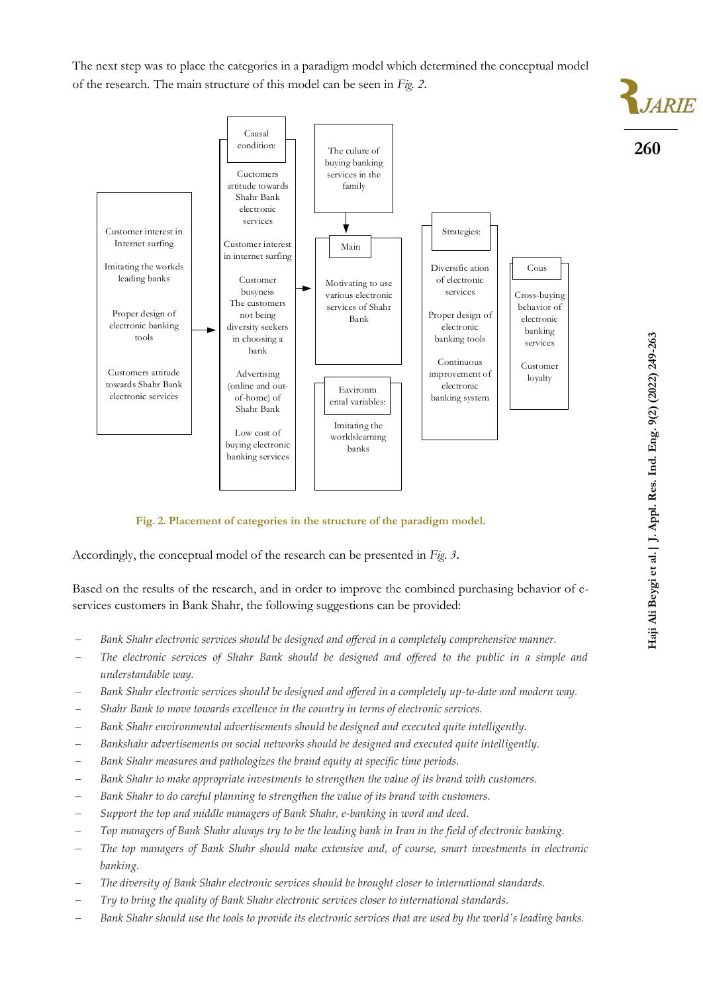The next step was to place the categories in a paradigm model which determined the conceptual model of the research. The main structure of this model can be seen in *Fig. 2* .



**Fig. 2. Placement of categories in the structure of the paradigm model.**

Accordingly, the conceptual model of the research can be presented in *Fig*. *3* .

Based on the results of the research, and in order to improve the combined purchasing behavior of eservices customers in Bank Shahr, the following suggestions can be provided:

- − *Bank Shahr electronic services should be designed and offered in a completely comprehensive manner.*
- − *The electronic services of Shahr Bank should be designed and offered to the public in a simple and understandable way.*
- − *Bank Shahr electronic services should be designed and offered in a completely up-to-date and modern way.*
- − *Shahr Bank to move towards excellence in the country in terms of electronic services.*
- − *Bank Shahr environmental advertisements should be designed and executed quite intelligently.*
- − *Bankshahr advertisements on social networks should be designed and executed quite intelligently.*
- Bank Shahr measures and pathologizes the brand equity at specific time periods.
- − *Bank Shahr to make appropriate investments to strengthen the value of its brand with customers.*
- − *Bank Shahr to do careful planning to strengthen the value of its brand with customers.*
- − *Support the top and middle managers of Bank Shahr, e-banking in word and deed.*
- − *Top managers of Bank Shahr always try to be the leading bank in Iran in the field of electronic banking.*
- − *The top managers of Bank Shahr should make extensive and, of course, smart investments in electronic banking.*
- − *The diversity of Bank Shahr electronic services should be brought closer to international standards.*
- − *Try to bring the quality of Bank Shahr electronic services closer to international standards.*
- − *Bank Shahr should use the tools to provide its electronic services that are used by the world's leading banks.*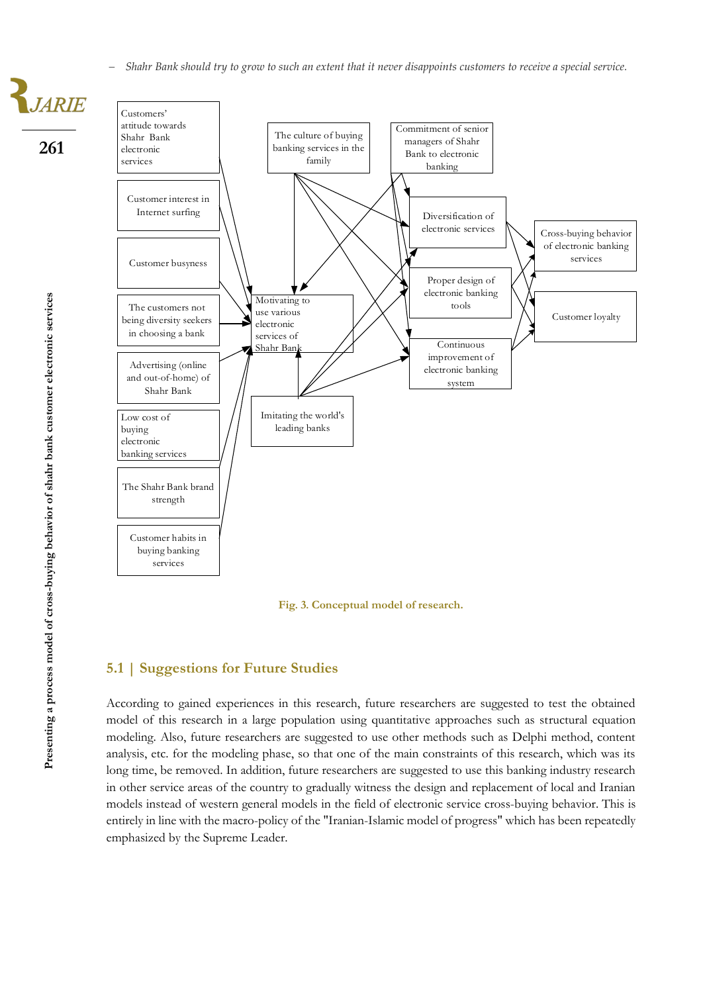− *Shahr Bank should try to grow to such an extent that it never disappoints customers to receive a special service.*

Customers attitude towards Shahr Bank electronic services Customer interest in Internet surfing Low cost of buying electronic banking services Customer habits in buying banking services The Shahr Bank brand strength Customer busyness Advertising (online and out-of-home) of Shahr Bank The customers not being diversity seekers in choosing a bank The culture of buying banking services in the family Diversification of electronic services Motivating to use various electronic services of Shahr Ban Proper design of electronic banking tools Imitating the world's leading banks Continuous improvement of electronic banking system Customer loyalty Cross-buying behavior of electronic banking services Commitment of senior managers of Shahr Bank to electronic banking

**Fig. 3. Conceptual model of research.**

### **5.1 | Suggestions for Future Studies**

According to gained experiences in this research, future researchers are suggested to test the obtained model of this research in a large population using quantitative approaches such as structural equation modeling. Also, future researchers are suggested to use other methods such as Delphi method, content analysis, etc. for the modeling phase, so that one of the main constraints of this research, which was its long time, be removed. In addition, future researchers are suggested to use this banking industry research in other service areas of the country to gradually witness the design and replacement of local and Iranian models instead of western general models in the field of electronic service cross-buying behavior. This is entirely in line with the macro-policy of the "Iranian-Islamic model of progress" which has been repeatedly emphasized by the Supreme Leader.

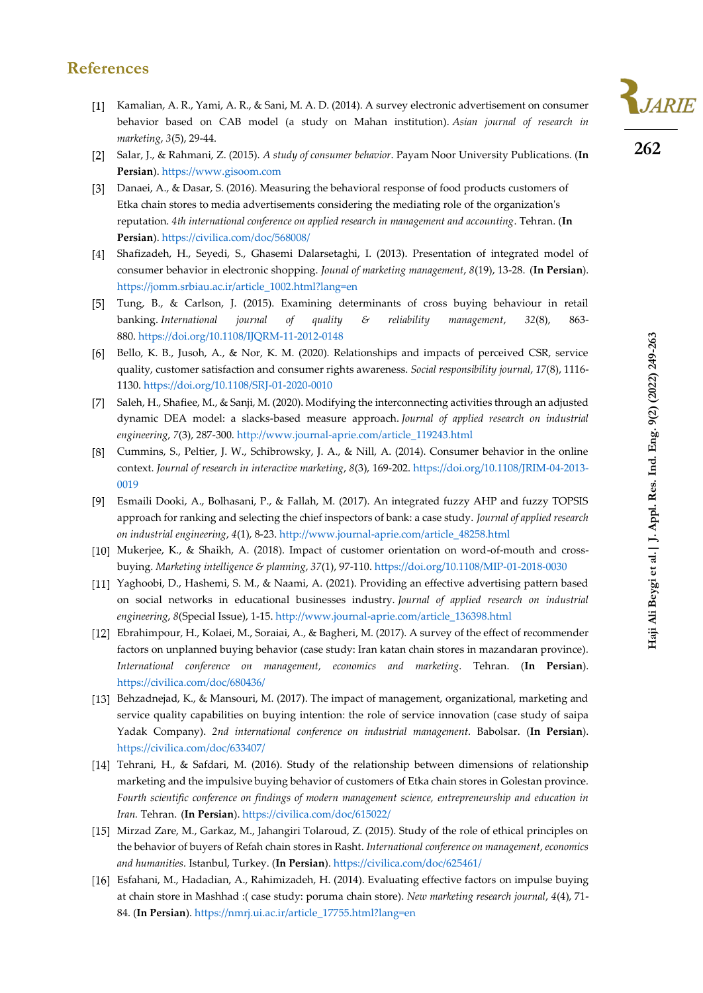### **References**

- Kamalian, A. R., Yami, A. R., & Sani, M. A. D. (2014). A survey electronic advertisement on consumer behavior based on CAB model (a study on Mahan institution). *Asian journal of research in marketing*, *3*(5), 29-44.
- Salar, J., & Rahmani, Z. (2015). *A study of consumer behavior*. Payam Noor University Publications. (**In**   $\lceil 2 \rceil$ **Persian**)[. https://www.gisoom.com](https://www.gisoom.com/)
- [3] Danaei, A., & Dasar, S. (2016). Measuring the behavioral response of food products customers of Etka chain stores to media advertisements considering the mediating role of the organization's reputation. *4th international conference on applied research in management and accounting*. Tehran. (**In Persian**)[. https://civilica.com/doc/568008/](https://civilica.com/doc/568008/)
- [4] Shafizadeh, H., Seyedi, S., Ghasemi Dalarsetaghi, I. (2013). Presentation of integrated model of consumer behavior in electronic shopping. *Jounal of marketing management*, *8*(19), 13-28. (**In Persian**). [https://jomm.srbiau.ac.ir/article\\_1002.html?lang=en](https://jomm.srbiau.ac.ir/article_1002.html?lang=en)
- Tung, B., & Carlson, J. (2015). Examining determinants of cross buying behaviour in retail banking. *International journal of quality & reliability management*, *32*(8), 863- 880. <https://doi.org/10.1108/IJQRM-11-2012-0148>
- Bello, K. B., Jusoh, A., & Nor, K. M. (2020). Relationships and impacts of perceived CSR, service quality, customer satisfaction and consumer rights awareness. *Social responsibility journal*, *17*(8), 1116- 1130. <https://doi.org/10.1108/SRJ-01-2020-0010>
- [7] Saleh, H., Shafiee, M., & Sanji, M. (2020). Modifying the interconnecting activities through an adjusted dynamic DEA model: a slacks-based measure approach. *Journal of applied research on industrial engineering*, *7*(3), 287-300. [http://www.journal-aprie.com/article\\_119243.html](http://www.journal-aprie.com/article_119243.html)
- Cummins, S., Peltier, J. W., Schibrowsky, J. A., & Nill, A. (2014). Consumer behavior in the online context. *Journal of research in interactive marketing*, *8*(3), 169-202. [https://doi.org/10.1108/JRIM-04-2013-](https://doi.org/10.1108/JRIM-04-2013-0019) [0019](https://doi.org/10.1108/JRIM-04-2013-0019)
- Esmaili Dooki, A., Bolhasani, P., & Fallah, M. (2017). An integrated fuzzy AHP and fuzzy TOPSIS approach for ranking and selecting the chief inspectors of bank: a case study. *Journal of applied research on industrial engineering*, *4*(1), 8-23. [http://www.journal-aprie.com/article\\_48258.html](http://www.journal-aprie.com/article_48258.html)
- [10] Mukerjee, K., & Shaikh, A. (2018). Impact of customer orientation on word-of-mouth and crossbuying. *Marketing intelligence & planning*, *37*(1), 97-110. <https://doi.org/10.1108/MIP-01-2018-0030>
- Yaghoobi, D., Hashemi, S. M., & Naami, A. (2021). Providing an effective advertising pattern based on social networks in educational businesses industry. *Journal of applied research on industrial engineering*, *8*(Special Issue), 1-15[. http://www.journal-aprie.com/article\\_136398.html](http://www.journal-aprie.com/article_136398.html)
- Ebrahimpour, H., Kolaei, M., Soraiai, A., & Bagheri, M. (2017). A survey of the effect of recommender factors on unplanned buying behavior (case study: Iran katan chain stores in mazandaran province)*. International conference on management, economics and marketing*. Tehran. (**In Persian**). <https://civilica.com/doc/680436/>
- Behzadnejad, K., & Mansouri, M. (2017). The impact of management, organizational, marketing and service quality capabilities on buying intention: the role of service innovation (case study of saipa Yadak Company). *2nd international conference on industrial management*. Babolsar. (**In Persian**). <https://civilica.com/doc/633407/>
- [14] Tehrani, H., & Safdari, M. (2016). Study of the relationship between dimensions of relationship marketing and the impulsive buying behavior of customers of Etka chain stores in Golestan province*. Fourth scientific conference on findings of modern management science, entrepreneurship and education in Iran.* Tehran. (**In Persian**)[. https://civilica.com/doc/615022/](https://civilica.com/doc/615022/)
- [15] Mirzad Zare, M., Garkaz, M., Jahangiri Tolaroud, Z. (2015). Study of the role of ethical principles on the behavior of buyers of Refah chain stores in Rasht. *International conference on management*, *economics and humanities*. Istanbul, Turkey. (**In Persian**)[. https://civilica.com/doc/625461/](https://civilica.com/doc/625461/)
- Esfahani, M., Hadadian, A., Rahimizadeh, H. (2014). Evaluating effective factors on impulse buying at chain store in Mashhad :( case study: poruma chain store). *New marketing research journal*, *4*(4), 71- 84. (**In Persian**). [https://nmrj.ui.ac.ir/article\\_17755.html?lang=en](https://nmrj.ui.ac.ir/article_17755.html?lang=en)